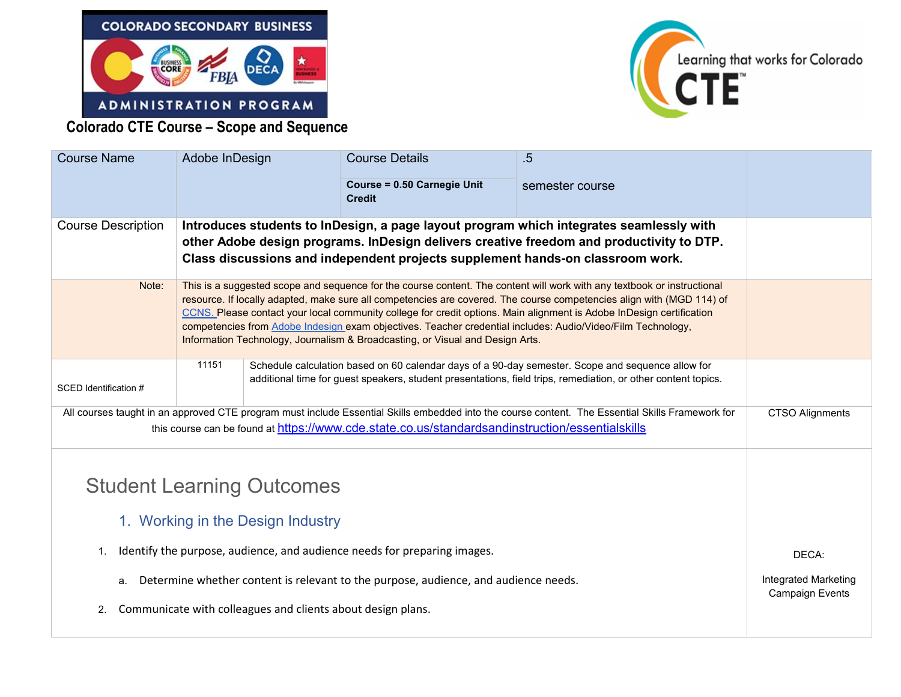



**Colorado CTE Course – Scope and Sequence** 

| <b>Course Name</b>                                                                                                                                                                                                                                  | Adobe InDesign                                                                                                                                                                                                                                                                                                                                                                                                                                                                                                                                                           |  | <b>Course Details</b>                        | $.5\phantom{0}$<br>semester course |                                                |
|-----------------------------------------------------------------------------------------------------------------------------------------------------------------------------------------------------------------------------------------------------|--------------------------------------------------------------------------------------------------------------------------------------------------------------------------------------------------------------------------------------------------------------------------------------------------------------------------------------------------------------------------------------------------------------------------------------------------------------------------------------------------------------------------------------------------------------------------|--|----------------------------------------------|------------------------------------|------------------------------------------------|
|                                                                                                                                                                                                                                                     |                                                                                                                                                                                                                                                                                                                                                                                                                                                                                                                                                                          |  | Course = 0.50 Carnegie Unit<br><b>Credit</b> |                                    |                                                |
| <b>Course Description</b>                                                                                                                                                                                                                           | Introduces students to InDesign, a page layout program which integrates seamlessly with<br>other Adobe design programs. InDesign delivers creative freedom and productivity to DTP.<br>Class discussions and independent projects supplement hands-on classroom work.                                                                                                                                                                                                                                                                                                    |  |                                              |                                    |                                                |
| Note:                                                                                                                                                                                                                                               | This is a suggested scope and sequence for the course content. The content will work with any textbook or instructional<br>resource. If locally adapted, make sure all competencies are covered. The course competencies align with (MGD 114) of<br>CCNS. Please contact your local community college for credit options. Main alignment is Adobe InDesign certification<br>competencies from Adobe Indesign exam objectives. Teacher credential includes: Audio/Video/Film Technology,<br>Information Technology, Journalism & Broadcasting, or Visual and Design Arts. |  |                                              |                                    |                                                |
| SCED Identification #                                                                                                                                                                                                                               | 11151<br>Schedule calculation based on 60 calendar days of a 90-day semester. Scope and sequence allow for<br>additional time for guest speakers, student presentations, field trips, remediation, or other content topics.                                                                                                                                                                                                                                                                                                                                              |  |                                              |                                    |                                                |
| All courses taught in an approved CTE program must include Essential Skills embedded into the course content. The Essential Skills Framework for<br>this course can be found at https://www.cde.state.co.us/standardsandinstruction/essentialskills |                                                                                                                                                                                                                                                                                                                                                                                                                                                                                                                                                                          |  |                                              |                                    | <b>CTSO Alignments</b>                         |
| <b>Student Learning Outcomes</b><br>1. Working in the Design Industry                                                                                                                                                                               |                                                                                                                                                                                                                                                                                                                                                                                                                                                                                                                                                                          |  |                                              |                                    |                                                |
| Identify the purpose, audience, and audience needs for preparing images.<br>1.                                                                                                                                                                      |                                                                                                                                                                                                                                                                                                                                                                                                                                                                                                                                                                          |  |                                              |                                    | DECA:                                          |
| Determine whether content is relevant to the purpose, audience, and audience needs.<br>а.                                                                                                                                                           |                                                                                                                                                                                                                                                                                                                                                                                                                                                                                                                                                                          |  |                                              |                                    | Integrated Marketing<br><b>Campaign Events</b> |
| Communicate with colleagues and clients about design plans.<br>2.                                                                                                                                                                                   |                                                                                                                                                                                                                                                                                                                                                                                                                                                                                                                                                                          |  |                                              |                                    |                                                |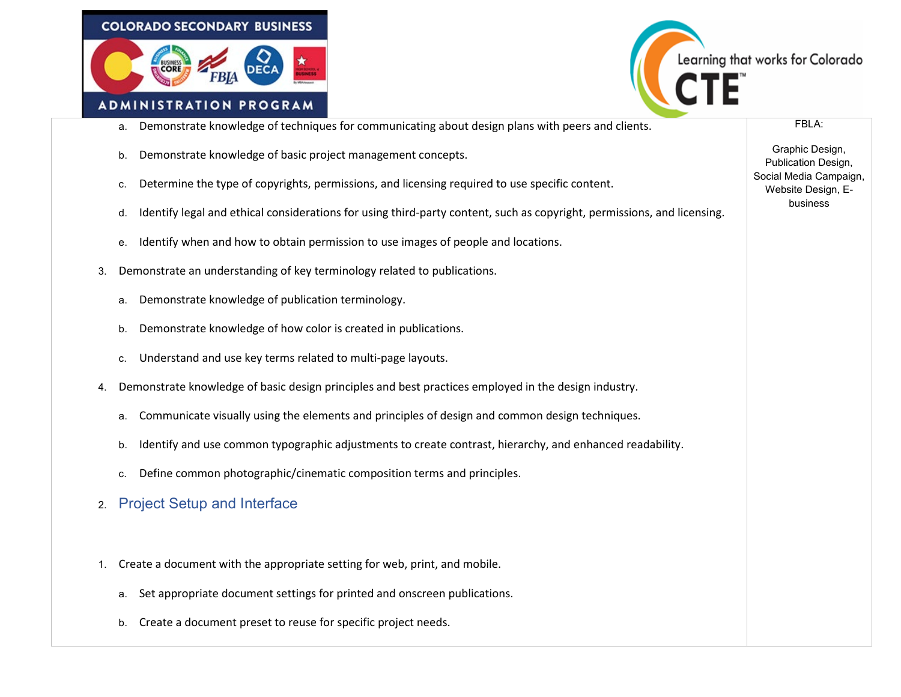



FBLA:

Graphic Design, Publication Design, Social Media Campaign, Website Design, Ebusiness

- a. Demonstrate knowledge of techniques for communicating about design plans with peers and clients.
- b. Demonstrate knowledge of basic project management concepts.
- c. Determine the type of copyrights, permissions, and licensing required to use specific content.
- d. Identify legal and ethical considerations for using third-party content, such as copyright, permissions, and licensing.
- e. Identify when and how to obtain permission to use images of people and locations.
- 3. Demonstrate an understanding of key terminology related to publications.
	- a. Demonstrate knowledge of publication terminology.
	- b. Demonstrate knowledge of how color is created in publications.
	- c. Understand and use key terms related to multi-page layouts.
- 4. Demonstrate knowledge of basic design principles and best practices employed in the design industry.
	- a. Communicate visually using the elements and principles of design and common design techniques.
	- b. Identify and use common typographic adjustments to create contrast, hierarchy, and enhanced readability.
	- c. Define common photographic/cinematic composition terms and principles.
- 2. Project Setup and Interface
- 1. Create a document with the appropriate setting for web, print, and mobile.
	- a. Set appropriate document settings for printed and onscreen publications.
	- b. Create a document preset to reuse for specific project needs.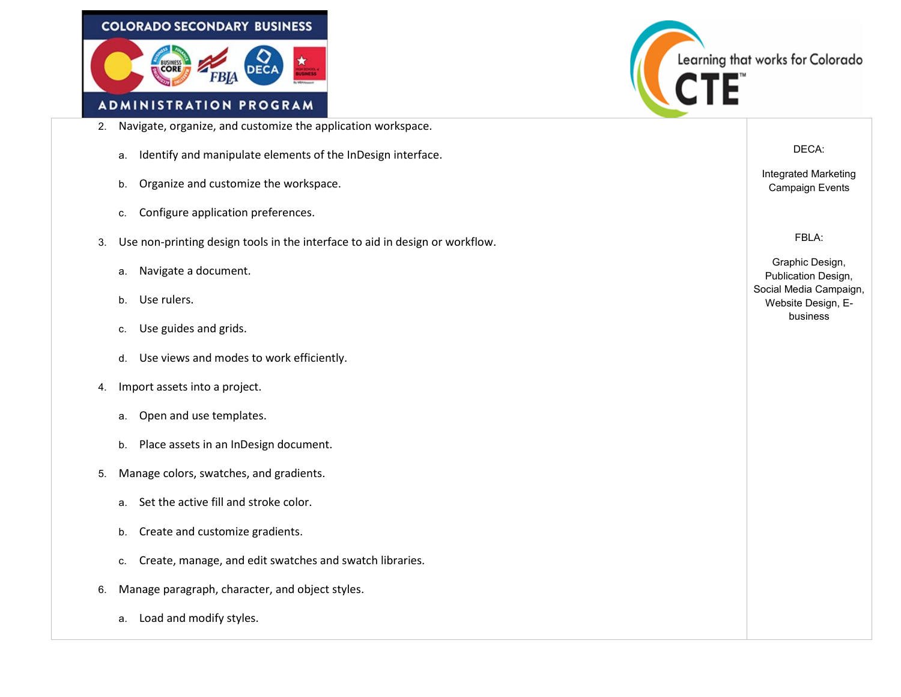



- 2. Navigate, organize, and customize the application workspace.
	- a. Identify and manipulate elements of the InDesign interface.
	- b. Organize and customize the workspace.
	- c. Configure application preferences.
- 3. Use non-printing design tools in the interface to aid in design or workflow.
	- a. Navigate a document.
	- b. Use rulers.
	- c. Use guides and grids.
	- d. Use views and modes to work efficiently.
- 4. Import assets into a project.
	- a. Open and use templates.
	- b. Place assets in an InDesign document.
- 5. Manage colors, swatches, and gradients.
	- a. Set the active fill and stroke color.
	- b. Create and customize gradients.
	- c. Create, manage, and edit swatches and swatch libraries.
- 6. Manage paragraph, character, and object styles.
	- a. Load and modify styles.

DECA:

Integrated Marketing Campaign Events

FBLA:

Graphic Design, Publication Design, Social Media Campaign, Website Design, Ebusiness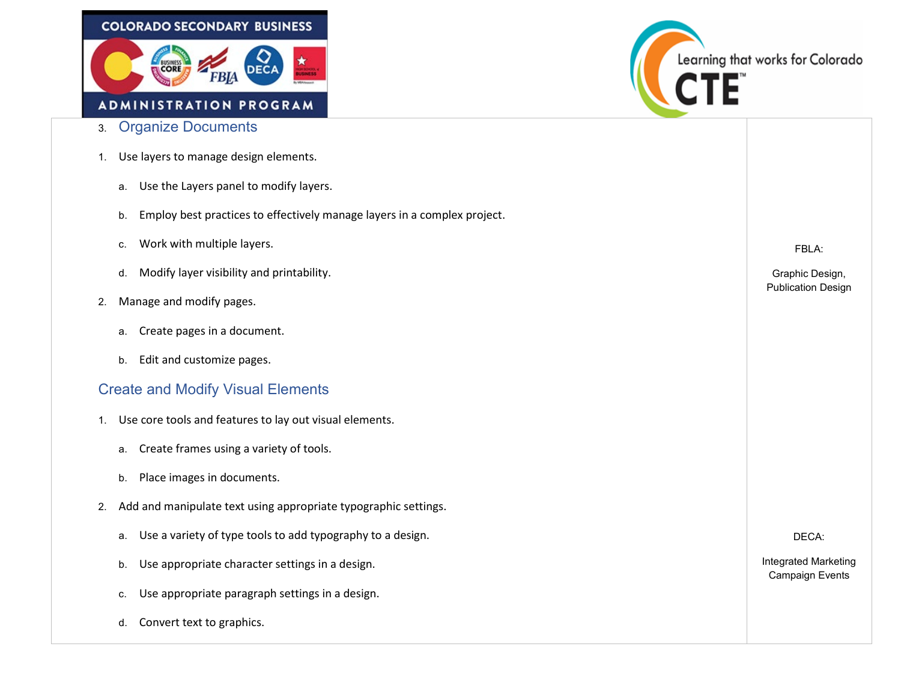

- 3. Organize Documents
- 1. Use layers to manage design elements.
	- a. Use the Layers panel to modify layers.
	- b. Employ best practices to effectively manage layers in a complex project.
	- c. Work with multiple layers.
	- d. Modify layer visibility and printability.
- 2. Manage and modify pages.
	- a. Create pages in a document.
	- b. Edit and customize pages.

## Create and Modify Visual Elements

- 1. Use core tools and features to lay out visual elements.
	- a. Create frames using a variety of tools.
	- b. Place images in documents.
- 2. Add and manipulate text using appropriate typographic settings.
	- a. Use a variety of type tools to add typography to a design.
	- b. Use appropriate character settings in a design.
	- c. Use appropriate paragraph settings in a design.
	- d. Convert text to graphics.



FBLA:

Graphic Design, Publication Design

DECA:

Integrated Marketing Campaign Events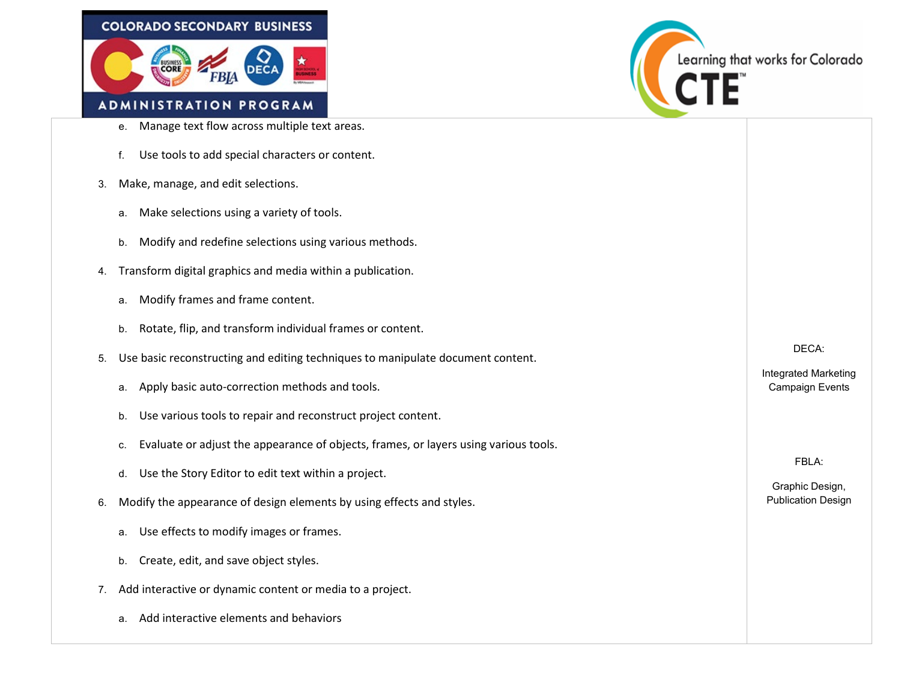



- e. Manage text flow across multiple text areas.
- f. Use tools to add special characters or content.
- 3. Make, manage, and edit selections.
	- a. Make selections using a variety of tools.
	- b. Modify and redefine selections using various methods.
- 4. Transform digital graphics and media within a publication.
	- a. Modify frames and frame content.
	- b. Rotate, flip, and transform individual frames or content.
- 5. Use basic reconstructing and editing techniques to manipulate document content.
	- a. Apply basic auto-correction methods and tools.
	- b. Use various tools to repair and reconstruct project content.
	- c. Evaluate or adjust the appearance of objects, frames, or layers using various tools.
	- d. Use the Story Editor to edit text within a project.
- 6. Modify the appearance of design elements by using effects and styles.
	- a. Use effects to modify images or frames.
	- b. Create, edit, and save object styles.
- 7. Add interactive or dynamic content or media to a project.
	- a. Add interactive elements and behaviors

DECA:

Integrated Marketing Campaign Events

FBLA:

Graphic Design, Publication Design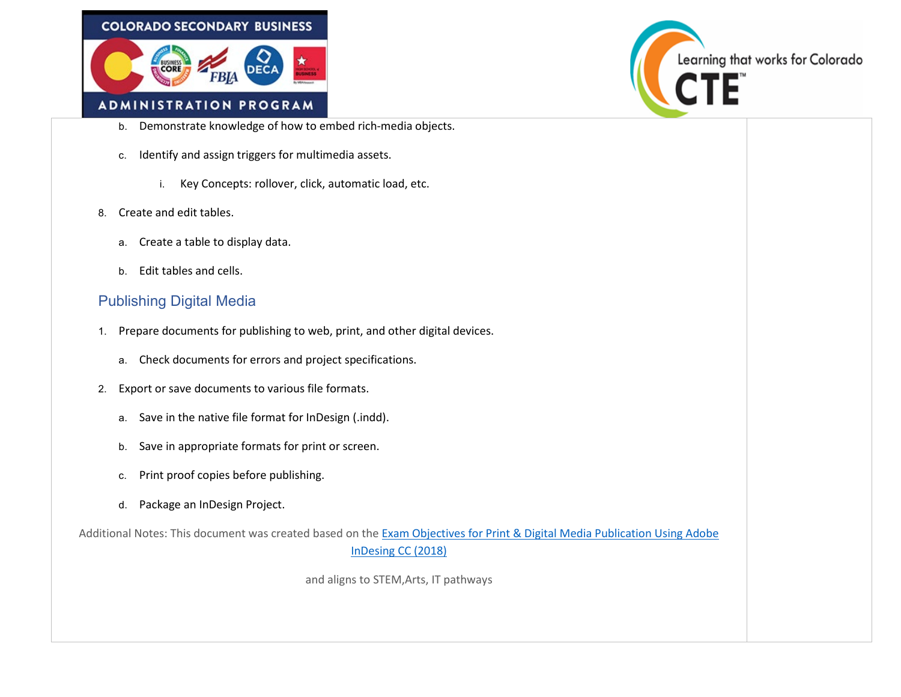



- b. Demonstrate knowledge of how to embed rich-media objects.
- c. Identify and assign triggers for multimedia assets.
	- i. Key Concepts: rollover, click, automatic load, etc.
- 8. Create and edit tables.
	- a. Create a table to display data.
	- b. Edit tables and cells.

## Publishing Digital Media

- 1. Prepare documents for publishing to web, print, and other digital devices.
	- a. Check documents for errors and project specifications.
- 2. Export or save documents to various file formats.
	- a. Save in the native file format for InDesign (.indd).
	- b. Save in appropriate formats for print or screen.
	- c. Print proof copies before publishing.
	- d. Package an InDesign Project.

Additional Notes: This document was created based on th[e Exam Objectives for Print & Digital Media Publication Using Adobe](https://edex.adobe.com/resource/v042df592/download/c75d8cb4-4db5-4887-addf-c91b5c62f035/)  [InDesing CC \(2018\)](https://edex.adobe.com/resource/v042df592/download/c75d8cb4-4db5-4887-addf-c91b5c62f035/)

and aligns to STEM,Arts, IT pathways